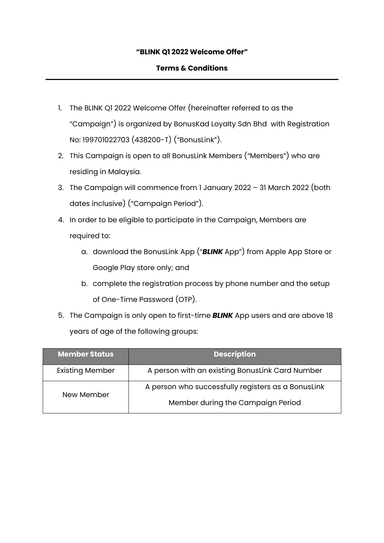# **"BLINK Q1 2022 Welcome Offer"**

### **Terms & Conditions**

- 1. The BLINK Q1 2022 Welcome Offer (hereinafter referred to as the "Campaign") is organized by BonusKad Loyalty Sdn Bhd with Registration No: 199701022703 (438200-T) ("BonusLink").
- 2. This Campaign is open to all BonusLink Members ("Members") who are residing in Malaysia.
- 3. The Campaign will commence from 1 January 2022 31 March 2022 (both dates inclusive) ("Campaign Period").
- 4. In order to be eligible to participate in the Campaign, Members are required to:
	- a. download the BonusLink App ("*BLINK* App") from Apple App Store or Google Play store only; and
	- b. complete the registration process by phone number and the setup of One-Time Password (OTP).
- 5. The Campaign is only open to first-time *BLINK* App users and are above 18 years of age of the following groups:

| <b>Member Status</b>   | <b>Description</b>                                 |  |
|------------------------|----------------------------------------------------|--|
| <b>Existing Member</b> | A person with an existing BonusLink Card Number    |  |
| New Member             | A person who successfully registers as a BonusLink |  |
|                        | Member during the Campaign Period                  |  |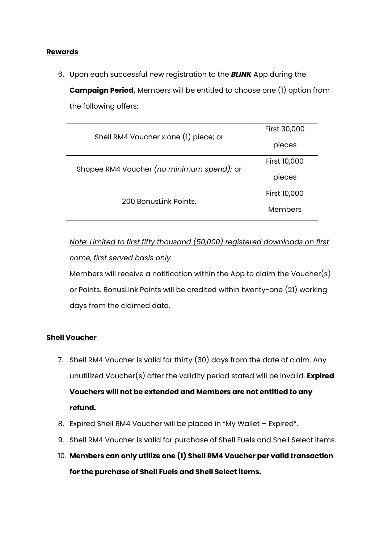### **Rewards**

6. Upon each successful new registration to the *BLINK* App during the

**Campaign Period,** Members will be entitled to choose one (1) option from the following offers:

| Shell RM4 Voucher x one (1) piece; or     | First 30,000        |
|-------------------------------------------|---------------------|
|                                           | pieces              |
| Shopee RM4 Voucher (no minimum spend); or | <b>First 10,000</b> |
|                                           | pieces              |
|                                           | First 10,000        |
| 200 Bonuslink Points.                     | Members             |

# *Note: Limited to first fifty thousand (50,000) registered downloads on first come, first served basis only.*

Members will receive a notification within the App to claim the Voucher(s) or Points. BonusLink Points will be credited within twenty-one (21) working days from the claimed date.

# **Shell Voucher**

- 7. Shell RM4 Voucher is valid for thirty (30) days from the date of claim. Any unutilized Voucher(s) after the validity period stated will be invalid. **Expired Vouchers will not be extended and Members are not entitled to any refund.**
- 8. Expired Shell RM4 Voucher will be placed in "My Wallet Expired".
- 9. Shell RM4 Voucher is valid for purchase of Shell Fuels and Shell Select items.
- 10. **Members can only utilize one (1) Shell RM4 Voucher per valid transaction for the purchase of Shell Fuels and Shell Select items.**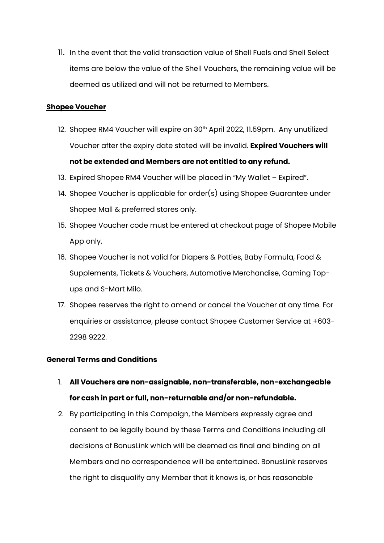11. In the event that the valid transaction value of Shell Fuels and Shell Select items are below the value of the Shell Vouchers, the remaining value will be deemed as utilized and will not be returned to Members.

### **Shopee Voucher**

- 12. Shopee RM4 Voucher will expire on 30<sup>th</sup> April 2022, 11.59pm. Any unutilized Voucher after the expiry date stated will be invalid. **Expired Vouchers will not be extended and Members are not entitled to any refund.**
- 13. Expired Shopee RM4 Voucher will be placed in "My Wallet Expired".
- 14. Shopee Voucher is applicable for order(s) using Shopee Guarantee under Shopee Mall & preferred stores only.
- 15. Shopee Voucher code must be entered at checkout page of Shopee Mobile App only.
- 16. Shopee Voucher is not valid for Diapers & Potties, Baby Formula, Food & Supplements, Tickets & Vouchers, Automotive Merchandise, Gaming Topups and S-Mart Milo.
- 17. Shopee reserves the right to amend or cancel the Voucher at any time. For enquiries or assistance, please contact Shopee Customer Service at +603- 2298 9222.

# **General Terms and Conditions**

- 1. **All Vouchers are non-assignable, non-transferable, non-exchangeable for cash in part or full, non-returnable and/or non-refundable.**
- 2. By participating in this Campaign, the Members expressly agree and consent to be legally bound by these Terms and Conditions including all decisions of BonusLink which will be deemed as final and binding on all Members and no correspondence will be entertained. BonusLink reserves the right to disqualify any Member that it knows is, or has reasonable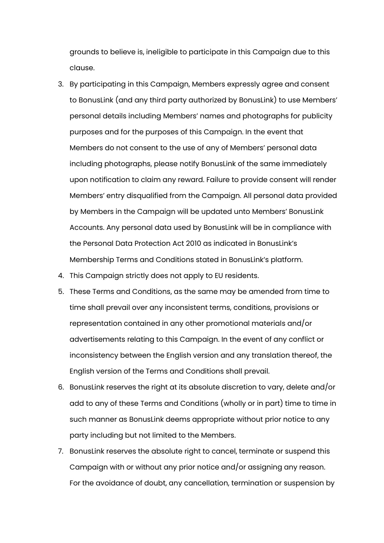grounds to believe is, ineligible to participate in this Campaign due to this clause.

- 3. By participating in this Campaign, Members expressly agree and consent to BonusLink (and any third party authorized by BonusLink) to use Members' personal details including Members' names and photographs for publicity purposes and for the purposes of this Campaign. In the event that Members do not consent to the use of any of Members' personal data including photographs, please notify BonusLink of the same immediately upon notification to claim any reward. Failure to provide consent will render Members' entry disqualified from the Campaign. All personal data provided by Members in the Campaign will be updated unto Members' BonusLink Accounts. Any personal data used by BonusLink will be in compliance with the Personal Data Protection Act 2010 as indicated in BonusLink's Membership Terms and Conditions stated in BonusLink's platform.
- 4. This Campaign strictly does not apply to EU residents.
- 5. These Terms and Conditions, as the same may be amended from time to time shall prevail over any inconsistent terms, conditions, provisions or representation contained in any other promotional materials and/or advertisements relating to this Campaign. In the event of any conflict or inconsistency between the English version and any translation thereof, the English version of the Terms and Conditions shall prevail.
- 6. BonusLink reserves the right at its absolute discretion to vary, delete and/or add to any of these Terms and Conditions (wholly or in part) time to time in such manner as BonusLink deems appropriate without prior notice to any party including but not limited to the Members.
- 7. BonusLink reserves the absolute right to cancel, terminate or suspend this Campaign with or without any prior notice and/or assigning any reason. For the avoidance of doubt, any cancellation, termination or suspension by